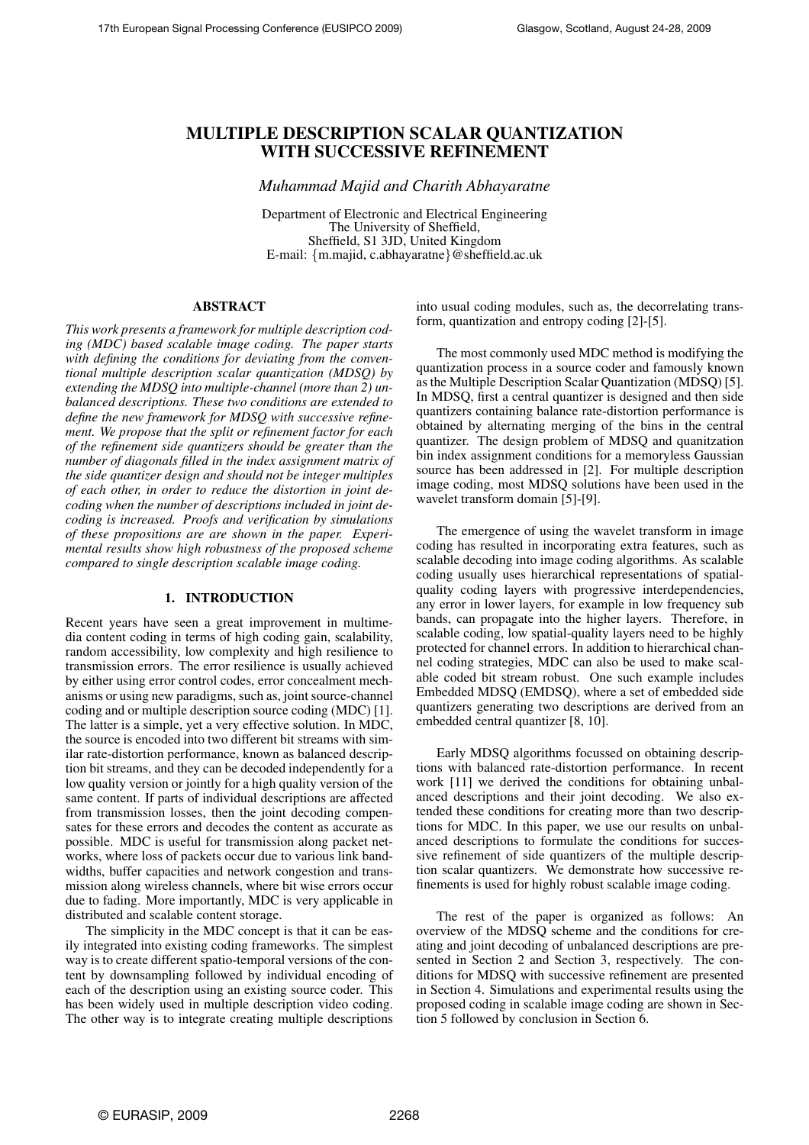# MULTIPLE DESCRIPTION SCALAR QUANTIZATION WITH SUCCESSIVE REFINEMENT

*Muhammad Majid and Charith Abhayaratne*

Department of Electronic and Electrical Engineering The University of Sheffield, Sheffield, S1 3JD, United Kingdom E-mail: {m.majid, c.abhayaratne}@sheffield.ac.uk

#### ABSTRACT

*This work presents a framework for multiple description coding (MDC) based scalable image coding. The paper starts with defining the conditions for deviating from the conventional multiple description scalar quantization (MDSQ) by extending the MDSQ into multiple-channel (more than 2) unbalanced descriptions. These two conditions are extended to define the new framework for MDSQ with successive refinement. We propose that the split or refinement factor for each of the refinement side quantizers should be greater than the number of diagonals filled in the index assignment matrix of the side quantizer design and should not be integer multiples of each other, in order to reduce the distortion in joint decoding when the number of descriptions included in joint decoding is increased. Proofs and verification by simulations of these propositions are are shown in the paper. Experimental results show high robustness of the proposed scheme compared to single description scalable image coding.*

#### 1. INTRODUCTION

Recent years have seen a great improvement in multimedia content coding in terms of high coding gain, scalability, random accessibility, low complexity and high resilience to transmission errors. The error resilience is usually achieved by either using error control codes, error concealment mechanisms or using new paradigms, such as, joint source-channel coding and or multiple description source coding (MDC) [1]. The latter is a simple, yet a very effective solution. In MDC, the source is encoded into two different bit streams with similar rate-distortion performance, known as balanced description bit streams, and they can be decoded independently for a low quality version or jointly for a high quality version of the same content. If parts of individual descriptions are affected from transmission losses, then the joint decoding compensates for these errors and decodes the content as accurate as possible. MDC is useful for transmission along packet networks, where loss of packets occur due to various link bandwidths, buffer capacities and network congestion and transmission along wireless channels, where bit wise errors occur due to fading. More importantly, MDC is very applicable in distributed and scalable content storage.

The simplicity in the MDC concept is that it can be easily integrated into existing coding frameworks. The simplest way is to create different spatio-temporal versions of the content by downsampling followed by individual encoding of each of the description using an existing source coder. This has been widely used in multiple description video coding. The other way is to integrate creating multiple descriptions

into usual coding modules, such as, the decorrelating transform, quantization and entropy coding [2]-[5].

The most commonly used MDC method is modifying the quantization process in a source coder and famously known as the Multiple Description Scalar Quantization (MDSQ) [5]. In MDSQ, first a central quantizer is designed and then side quantizers containing balance rate-distortion performance is obtained by alternating merging of the bins in the central quantizer. The design problem of MDSQ and quanitzation bin index assignment conditions for a memoryless Gaussian source has been addressed in [2]. For multiple description image coding, most MDSQ solutions have been used in the wavelet transform domain [5]-[9].

The emergence of using the wavelet transform in image coding has resulted in incorporating extra features, such as scalable decoding into image coding algorithms. As scalable coding usually uses hierarchical representations of spatialquality coding layers with progressive interdependencies, any error in lower layers, for example in low frequency sub bands, can propagate into the higher layers. Therefore, in scalable coding, low spatial-quality layers need to be highly protected for channel errors. In addition to hierarchical channel coding strategies, MDC can also be used to make scalable coded bit stream robust. One such example includes Embedded MDSQ (EMDSQ), where a set of embedded side quantizers generating two descriptions are derived from an embedded central quantizer [8, 10].

Early MDSQ algorithms focussed on obtaining descriptions with balanced rate-distortion performance. In recent work [11] we derived the conditions for obtaining unbalanced descriptions and their joint decoding. We also extended these conditions for creating more than two descriptions for MDC. In this paper, we use our results on unbalanced descriptions to formulate the conditions for successive refinement of side quantizers of the multiple description scalar quantizers. We demonstrate how successive refinements is used for highly robust scalable image coding.

The rest of the paper is organized as follows: An overview of the MDSQ scheme and the conditions for creating and joint decoding of unbalanced descriptions are presented in Section 2 and Section 3, respectively. The conditions for MDSQ with successive refinement are presented in Section 4. Simulations and experimental results using the proposed coding in scalable image coding are shown in Section 5 followed by conclusion in Section 6.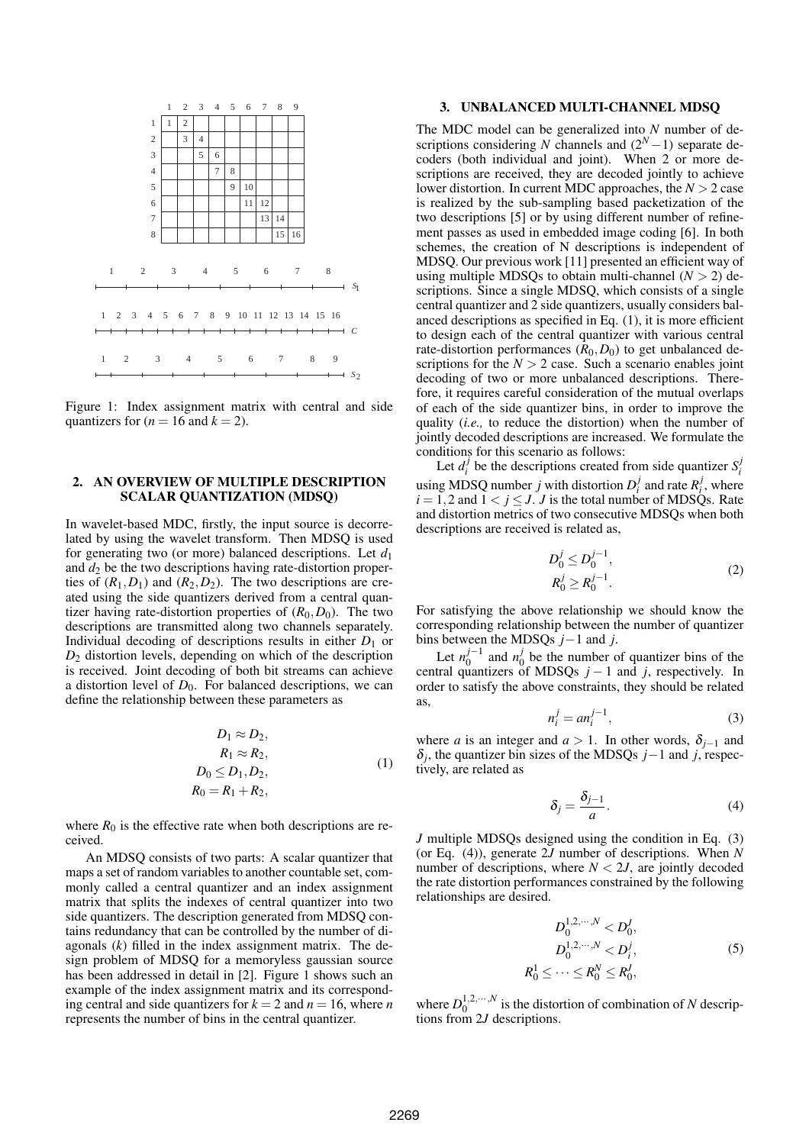

Figure 1: Index assignment matrix with central and side quantizers for  $(n = 16$  and  $k = 2)$ .

# 2. AN OVERVIEW OF MULTIPLE DESCRIPTION SCALAR QUANTIZATION (MDSQ)

In wavelet-based MDC, firstly, the input source is decorrelated by using the wavelet transform. Then MDSQ is used for generating two (or more) balanced descriptions. Let  $d_1$ and  $d_2$  be the two descriptions having rate-distortion properties of  $(R_1, D_1)$  and  $(R_2, D_2)$ . The two descriptions are created using the side quantizers derived from a central quantizer having rate-distortion properties of  $(R_0, D_0)$ . The two descriptions are transmitted along two channels separately. Individual decoding of descriptions results in either  $D_1$  or *D*<sup>2</sup> distortion levels, depending on which of the description is received. Joint decoding of both bit streams can achieve a distortion level of  $D_0$ . For balanced descriptions, we can define the relationship between these parameters as

$$
D_1 \approx D_2,
$$
  
\n
$$
R_1 \approx R_2,
$$
  
\n
$$
D_0 \le D_1, D_2,
$$
  
\n
$$
R_0 = R_1 + R_2,
$$
\n(1)

where  $R_0$  is the effective rate when both descriptions are received.

An MDSQ consists of two parts: A scalar quantizer that maps a set of random variables to another countable set, commonly called a central quantizer and an index assignment matrix that splits the indexes of central quantizer into two side quantizers. The description generated from MDSQ contains redundancy that can be controlled by the number of diagonals (*k*) filled in the index assignment matrix. The design problem of MDSQ for a memoryless gaussian source has been addressed in detail in [2]. Figure 1 shows such an example of the index assignment matrix and its corresponding central and side quantizers for  $k = 2$  and  $n = 16$ , where *n* represents the number of bins in the central quantizer.

#### 3. UNBALANCED MULTI-CHANNEL MDSQ

The MDC model can be generalized into *N* number of descriptions considering *N* channels and  $(2<sup>N</sup> - 1)$  separate decoders (both individual and joint). When 2 or more descriptions are received, they are decoded jointly to achieve lower distortion. In current MDC approaches, the *N* > 2 case is realized by the sub-sampling based packetization of the two descriptions [5] or by using different number of refinement passes as used in embedded image coding [6]. In both schemes, the creation of N descriptions is independent of MDSQ. Our previous work [11] presented an efficient way of using multiple MDSQs to obtain multi-channel  $(N > 2)$  descriptions. Since a single MDSQ, which consists of a single central quantizer and 2 side quantizers, usually considers balanced descriptions as specified in Eq. (1), it is more efficient to design each of the central quantizer with various central rate-distortion performances  $(R_0, D_0)$  to get unbalanced descriptions for the  $N > 2$  case. Such a scenario enables joint decoding of two or more unbalanced descriptions. Therefore, it requires careful consideration of the mutual overlaps of each of the side quantizer bins, in order to improve the quality (*i.e.,* to reduce the distortion) when the number of jointly decoded descriptions are increased. We formulate the conditions for this scenario as follows:

Let  $d_i^j$  be the descriptions created from side quantizer  $S_i^j$ using MDSQ number *j* with distortion  $D_i^j$  and rate  $R_i^j$ , where  $i = 1, 2$  and  $1 < i < J$ . *J* is the total number of MDSQs. Rate and distortion metrics of two consecutive MDSQs when both descriptions are received is related as,

$$
D_0^j \le D_0^{j-1},
$$
  
\n
$$
R_0^j \ge R_0^{j-1}.
$$
\n(2)

For satisfying the above relationship we should know the corresponding relationship between the number of quantizer bins between the MDSQs *j*−1 and *j*.

Let  $n_0^{j-1}$  $j^{-1}$  and  $n_0^j$  $\frac{1}{0}$  be the number of quantizer bins of the central quantizers of MDSQs *j* − 1 and *j*, respectively. In order to satisfy the above constraints, they should be related as,

$$
n_i^j = a n_i^{j-1},\tag{3}
$$

where *a* is an integer and  $a > 1$ . In other words,  $\delta_{j-1}$  and  $δ<sub>j</sub>$ , the quantizer bin sizes of the MDSQs *j*−1 and *j*, respectively, are related as

$$
\delta_j = \frac{\delta_{j-1}}{a}.\tag{4}
$$

*J* multiple MDSQs designed using the condition in Eq. (3) (or Eq. (4)), generate 2*J* number of descriptions. When *N* number of descriptions, where  $N < 2J$ , are jointly decoded the rate distortion performances constrained by the following relationships are desired.

$$
D_0^{1,2,\cdots,N} < D_0^J, \\
D_0^{1,2,\cdots,N} < D_i^j, \\
R_0^1 \leq \cdots \leq R_0^N \leq R_0^J,\tag{5}
$$

where  $D_0^{1,2,\cdots,N}$  is the distortion of combination of *N* descriptions from 2*J* descriptions.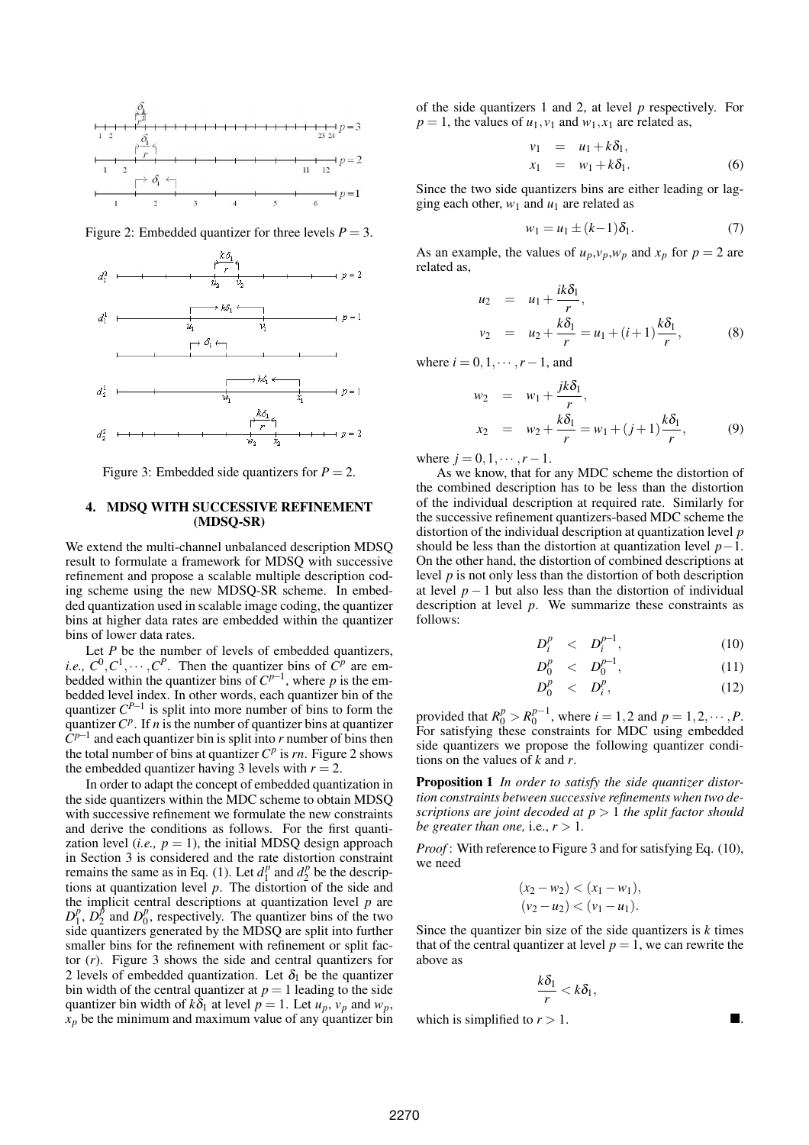

Figure 2: Embedded quantizer for three levels  $P = 3$ .



Figure 3: Embedded side quantizers for  $P = 2$ .

## 4. MDSQ WITH SUCCESSIVE REFINEMENT (MDSQ-SR)

We extend the multi-channel unbalanced description MDSQ result to formulate a framework for MDSQ with successive refinement and propose a scalable multiple description coding scheme using the new MDSQ-SR scheme. In embedded quantization used in scalable image coding, the quantizer bins at higher data rates are embedded within the quantizer bins of lower data rates.

Let *P* be the number of levels of embedded quantizers, *i.e.*,  $C^0, C^1, \dots, C^P$ . Then the quantizer bins of  $C^p$  are embedded within the quantizer bins of  $C^{p-1}$ , where p is the embedded level index. In other words, each quantizer bin of the quantizer  $C^{P-1}$  is split into more number of bins to form the quantizer  $C^p$ . If *n* is the number of quantizer bins at quantizer  $\dot{C}^{p-1}$  and each quantizer bin is split into *r* number of bins then the total number of bins at quantizer  $C^p$  is *rn*. Figure 2 shows the embedded quantizer having 3 levels with  $r = 2$ .

In order to adapt the concept of embedded quantization in the side quantizers within the MDC scheme to obtain MDSQ with successive refinement we formulate the new constraints and derive the conditions as follows. For the first quantization level (*i.e.*,  $p = 1$ ), the initial MDSO design approach in Section 3 is considered and the rate distortion constraint remains the same as in Eq. (1). Let  $d_1^p$  $\frac{d^p}{dx^p}$  and  $\frac{d^p}{dx^p}$  $n<sub>2</sub><sup>p</sup>$  be the descriptions at quantization level *p*. The distortion of the side and the implicit central descriptions at quantization level *p* are  $D_1^p$  $\frac{p}{1}$ ,  $D_2^p$  $\frac{p}{2}$  and  $D_0^p$  $_0^p$ , respectively. The quantizer bins of the two side quantizers generated by the MDSQ are split into further smaller bins for the refinement with refinement or split factor (*r*). Figure 3 shows the side and central quantizers for 2 levels of embedded quantization. Let  $\delta_1$  be the quantizer bin width of the central quantizer at  $p = 1$  leading to the side quantizer bin width of  $k\delta_1$  at level  $p = 1$ . Let  $u_p$ ,  $v_p$  and  $w_p$ ,  $x_p$  be the minimum and maximum value of any quantizer bin of the side quantizers 1 and 2, at level *p* respectively. For  $p = 1$ , the values of  $u_1, v_1$  and  $w_1, x_1$  are related as,

$$
v_1 = u_1 + k\delta_1,
$$
  
\n
$$
x_1 = w_1 + k\delta_1.
$$
\n(6)

Since the two side quantizers bins are either leading or lagging each other,  $w_1$  and  $u_1$  are related as

$$
w_1 = u_1 \pm (k-1)\delta_1. \tag{7}
$$

As an example, the values of  $u_p$ ,  $v_p$ ,  $w_p$  and  $x_p$  for  $p = 2$  are related as,

$$
u_2 = u_1 + \frac{ik\delta_1}{r},
$$
  
\n
$$
v_2 = u_2 + \frac{k\delta_1}{r} = u_1 + (i+1)\frac{k\delta_1}{r},
$$
 (8)

where  $i = 0, 1, \dots, r-1$ , and

$$
w_2 = w_1 + \frac{jk\delta_1}{r},
$$
  
\n
$$
x_2 = w_2 + \frac{k\delta_1}{r} = w_1 + (j+1)\frac{k\delta_1}{r},
$$
 (9)

where  $j = 0, 1, \dots, r - 1$ .

As we know, that for any MDC scheme the distortion of the combined description has to be less than the distortion of the individual description at required rate. Similarly for the successive refinement quantizers-based MDC scheme the distortion of the individual description at quantization level *p* should be less than the distortion at quantization level *p*−1. On the other hand, the distortion of combined descriptions at level *p* is not only less than the distortion of both description at level  $p-1$  but also less than the distortion of individual description at level *p*. We summarize these constraints as follows:

$$
D_i^p \quad < \quad D_i^{p-1}, \tag{10}
$$

$$
D_0^p \le D_0^{p-1}, \tag{11}
$$

$$
D_0^p \quad < \quad D_i^p,\tag{12}
$$

provided that  $R_0^p > R_0^{p-1}$  $j_0^{p-1}$ , where  $i = 1, 2$  and  $p = 1, 2, \dots, P$ . For satisfying these constraints for MDC using embedded side quantizers we propose the following quantizer conditions on the values of *k* and *r*.

Proposition 1 *In order to satisfy the side quantizer distortion constraints between successive refinements when two descriptions are joint decoded at p* > 1 *the split factor should be greater than one, i.e.,*  $r > 1$ *.* 

*Proof* : With reference to Figure 3 and for satisfying Eq. (10), we need

$$
(x_2-w_2) < (x_1-w_1),
$$
  
\n
$$
(v_2-u_2) < (v_1-u_1).
$$

Since the quantizer bin size of the side quantizers is *k* times that of the central quantizer at level  $p = 1$ , we can rewrite the above as

$$
\frac{k\delta_1}{r} < k\delta_1,
$$

which is simplified to  $r > 1$ .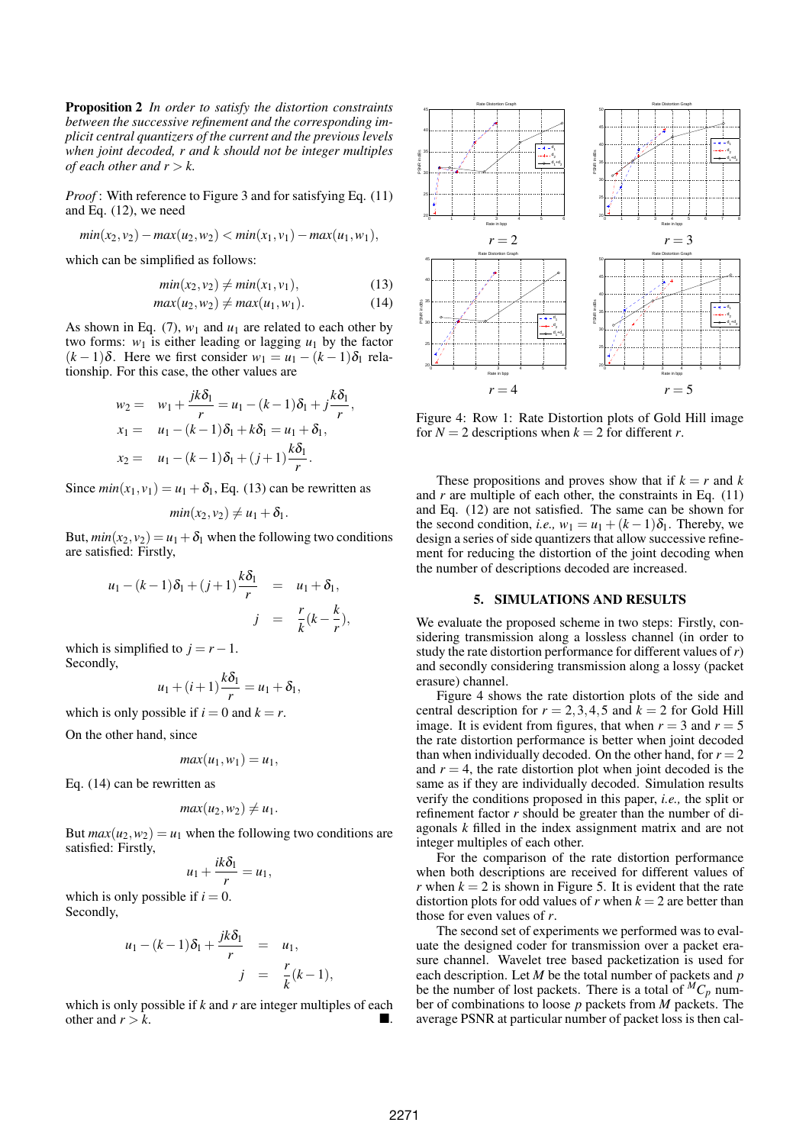Proposition 2 *In order to satisfy the distortion constraints between the successive refinement and the corresponding implicit central quantizers of the current and the previous levels when joint decoded, r and k should not be integer multiples of each other and*  $r > k$ .

*Proof*: With reference to Figure 3 and for satisfying Eq. (11) and Eq. (12), we need

$$
min(x_2, v_2) - max(u_2, w_2) < min(x_1, v_1) - max(u_1, w_1),
$$

which can be simplified as follows:

$$
min(x_2, v_2) \neq min(x_1, v_1), \tag{13}
$$

$$
max(u_2, w_2) \neq max(u_1, w_1).
$$
 (14)

As shown in Eq. (7),  $w_1$  and  $u_1$  are related to each other by two forms:  $w_1$  is either leading or lagging  $u_1$  by the factor  $(k-1)\delta$ . Here we first consider  $w_1 = u_1 - (k-1)\delta_1$  relationship. For this case, the other values are

$$
w_2 = w_1 + \frac{jk\delta_1}{r} = u_1 - (k-1)\delta_1 + j\frac{k\delta_1}{r},
$$
  
\n
$$
x_1 = u_1 - (k-1)\delta_1 + k\delta_1 = u_1 + \delta_1,
$$
  
\n
$$
x_2 = u_1 - (k-1)\delta_1 + (j+1)\frac{k\delta_1}{r}.
$$

Since  $min(x_1, y_1) = u_1 + \delta_1$ , Eq. (13) can be rewritten as

$$
min(x_2, v_2) \neq u_1 + \delta_1.
$$

But,  $min(x_2, y_2) = u_1 + \delta_1$  when the following two conditions are satisfied: Firstly,

$$
u_1 - (k-1)\delta_1 + (j+1)\frac{k\delta_1}{r} = u_1 + \delta_1,
$$
  

$$
j = \frac{r}{k}(k - \frac{k}{r}),
$$

which is simplified to  $i = r - 1$ . Secondly,

$$
u_1+(i+1)\frac{k\delta_1}{r}=u_1+\delta_1,
$$

which is only possible if  $i = 0$  and  $k = r$ .

On the other hand, since

$$
max(u_1, w_1) = u_1,
$$

Eq. (14) can be rewritten as

$$
max(u_2,w_2)\neq u_1.
$$

But  $max(u_2, w_2) = u_1$  when the following two conditions are satisfied: Firstly,

$$
u_1+\frac{ik\delta_1}{r}=u_1,
$$

which is only possible if  $i = 0$ . Secondly,

$$
u_1 - (k-1)\delta_1 + \frac{jk\delta_1}{r} = u_1,
$$
  

$$
j = \frac{r}{k}(k-1),
$$

which is only possible if *k* and *r* are integer multiples of each other and  $r > k$ .



Figure 4: Row 1: Rate Distortion plots of Gold Hill image for  $N = 2$  descriptions when  $k = 2$  for different *r*.

These propositions and proves show that if  $k = r$  and  $k = r$ and *r* are multiple of each other, the constraints in Eq. (11) and Eq. (12) are not satisfied. The same can be shown for the second condition, *i.e.*,  $w_1 = u_1 + (k-1)\delta_1$ . Thereby, we design a series of side quantizers that allow successive refinement for reducing the distortion of the joint decoding when the number of descriptions decoded are increased.

### 5. SIMULATIONS AND RESULTS

We evaluate the proposed scheme in two steps: Firstly, considering transmission along a lossless channel (in order to study the rate distortion performance for different values of*r*) and secondly considering transmission along a lossy (packet erasure) channel.

Figure 4 shows the rate distortion plots of the side and central description for  $r = 2, 3, 4, 5$  and  $k = 2$  for Gold Hill image. It is evident from figures, that when  $r = 3$  and  $r = 5$ the rate distortion performance is better when joint decoded than when individually decoded. On the other hand, for  $r = 2$ and  $r = 4$ , the rate distortion plot when joint decoded is the same as if they are individually decoded. Simulation results verify the conditions proposed in this paper, *i.e.,* the split or refinement factor *r* should be greater than the number of diagonals *k* filled in the index assignment matrix and are not integer multiples of each other.

For the comparison of the rate distortion performance when both descriptions are received for different values of *r* when  $k = 2$  is shown in Figure 5. It is evident that the rate distortion plots for odd values of *r* when  $k = 2$  are better than those for even values of *r*.

The second set of experiments we performed was to evaluate the designed coder for transmission over a packet erasure channel. Wavelet tree based packetization is used for each description. Let *M* be the total number of packets and *p* be the number of lost packets. There is a total of  ${}^MC_p$  number of combinations to loose *p* packets from *M* packets. The average PSNR at particular number of packet loss is then cal-